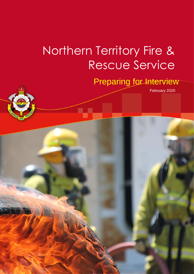# Northern Territory Fire & Rescue Service

February 2020 V-1 Page 1 of 7

## Preparing for Interview

February 2020

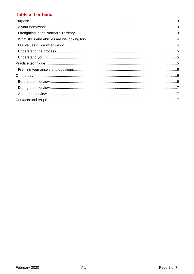### **Table of Contents**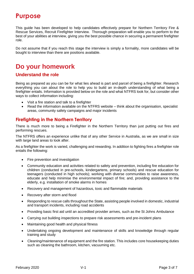### <span id="page-2-0"></span>**Purpose**

This guide has been developed to help candidates effectively prepare for Northern Territory Fire & Rescue Services, Recruit Firefighter Interview. Thorough preparation will enable you to perform to the best of your abilities at interview, giving you the best possible chance in securing a permanent firefighter role.

Do not assume that if you reach this stage the interview is simply a formality, more candidates will be bought to interview than there are positions available.

### <span id="page-2-1"></span>**Do your homework**

#### **Understand the role**

Being as prepared as you can be for what lies ahead is part and parcel of being a firefighter. Research everything you can about the role to help you to build an in-depth understanding of what being a firefighter entails. Information is provided below on the role and what NTFRS look for, but consider other ways to collect information including:

- Visit a fire station and talk to a firefighter
- Read the information available on the NTFRS website think about the organisation, specialist areas, community safety campaigns and major incidents

#### <span id="page-2-2"></span>**Firefighting in the Northern Territory**

There is much more to being a Firefighter in the Northern Territory than just putting out fires and performing rescues.

The NTFRS offers an experience unlike that of any other Service in Australia, as we are small in size with large land areas to look after.

As a firefighter the work is varied, challenging and rewarding. In addition to fighting fires a firefighter role entails the following:

- Fire prevention and investigation
- Community education and activities related to safety and prevention, including fire education for children (conducted in pre-schools, kindergartens, primary schools) and rescue education for teenagers (conducted in high schools); working with diverse communities to raise awareness, educate and help minimise the environmental impact of fire; and, providing assistance to the elderly, e.g. installation of smoke alarms in homes
- Recovery and management of hazardous, toxic and flammable materials
- Recovery after storm and flood
- Responding to rescue calls throughout the State, assisting people involved in domestic, industrial and transport incidents, including road accidents
- Providing basic first aid until an accredited provider arrives, such as the St Johns Ambulance
- Carrying out building inspections to prepare risk assessments and pre-incident plans
- Maintaining good health and physical fitness
- Undertaking ongoing development and maintenance of skills and knowledge through regular training and study
- Cleaning/maintenance of equipment and the fire station. This includes core housekeeping duties such as cleaning the bathroom, kitchen, vacuuming etc.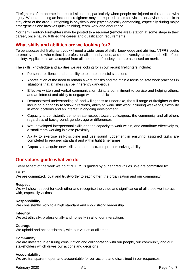Firefighters often operate in stressful situations, particularly when people are injured or threatened with injury. When attending an incident, firefighters may be required to comfort victims or advise the public to stay clear of the area. Firefighting is physically and psychologically demanding, especially during major emergencies and involves quick thinking, team work and endurance.

Northern Territory Firefighters may be posted to a regional (remote area) station at some stage in their career, once having fulfilled the career and qualification requirements.

#### <span id="page-3-0"></span>**What skills and abilities are we looking for?**

To be a successful firefighter, you will need a wide range of skills, knowledge and abilities. NTFRS seeks to employ people who reflect its professionalism and values, and the diversity, culture and skills of our society. Applications are accepted from all members of society and are assessed on merit.

The skills, knowledge and abilities we are looking for in our recruit firefighters include:

- Personal resilience and an ability to tolerate stressful situations
- Appreciation of the need to remain aware of risks and maintain a focus on safe work practices in situations that at times can be inherently dangerous
- Effective written and verbal communication skills, a commitment to service and helping others, and an interest and ability to engage with the public
- Demonstrated understanding of, and willingness to undertake, the full range of firefighter duties including a capacity to follow directions, ability to work shift work including weekends, flexibility in work locations and an interest in ongoing development
- Capacity to consistently demonstrate respect toward colleagues, the community and all others regardless of background, gender, age or differences
- Well-developed interpersonal skills and the capacity to work within, and contribute effectively to, a small team working in close proximity
- Ability to exercise self-discipline and use sound judgement in ensuring assigned tasks are completed to required standard and within tight timeframes
- Capacity to acquire new skills and demonstrated problem solving ability.

#### <span id="page-3-1"></span>**Our values guide what we do**

Every aspect of the work we do at NTFRS is guided by our shared values. We are committed to:

#### **Trust**

We are committed, loyal and trustworthy to each other, the organisation and our community.

#### **Respect**

We will show respect for each other and recognise the value and significance of all those we interact with, especially victims

#### **Responsibility**

We consistently work to a high standard and show strong leadership

#### **Integrity**

We act ethically, professionally and honestly in all of our interactions

#### **Courage**

We uphold and act consistently with our values at all times

#### **Community**

We are invested in ensuring consultation and collaboration with our people, our community and our stakeholders which drives our actions and decisions

#### **Accountability**

We are transparent, open and accountable for our actions and disciplined in our responses.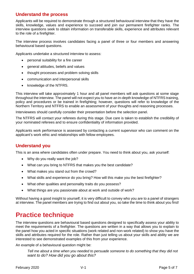#### <span id="page-4-0"></span>**Understand the process**

Applicants will be required to demonstrate through a structured behavioural interview that they have the skills, knowledge, values and experience to succeed and join our permanent firefighter ranks. The interview questions seek to obtain information on transferable skills, experience and attributes relevant to the role of a firefighter.

The interview process involves candidates facing a panel of three or four members and answering behavioural based questions.

Applicants undertake a structured interview to assess:

- personal suitability for a fire career
- general attitudes, beliefs and values
- thought processes and problem solving skills
- communication and interpersonal skills
- knowledge of the NTFRS.

This interview will take approximately 1 hour and all panel members will ask questions at some stage throughout the interview. The panel will not expect you to have an in-depth knowledge of NTFRS training, policy and procedures or be trained in firefighting; however, questions will refer to knowledge of the Northern Territory and NTFRS to enable an assessment of your thoughts and reasoning processes.

Interviewees should carefully consider their presentation before the selection panel.

The NTFRS will contact your referees during this stage. Due care is taken to establish the credibility of your nominated referees and to ensure confidentiality of information provided.

Applicants work performance is assessed by contacting a current supervisor who can comment on the applicant's work ethic and relationships with fellow employees.

#### <span id="page-4-1"></span>**Understand you**

This is an area where candidates often under prepare. You need to think about you, ask yourself:

- Why do you really want the job?
- What can you bring to NTFRS that makes you the best candidate?
- What makes you stand out from the crowd?
- What skills and experience do you bring? How will this make you the best firefighter?
- What other qualities and personality traits do you possess?
- What things are you passionate about at work and outside of work?

Without having a good insight to yourself, it is very difficult to convey who you are to a panel of strangers at interview. The panel members are trying to find out about you, so take the time to think about you first!

### <span id="page-4-2"></span>**Practice technique**

The interview questions are behavioural based questions designed to specifically assess your ability to meet the requirements of a firefighter. The questions are written in a way that allows you to explain to the panel how you acted in specific situations (work related and non-work related) to show you have the skills and attributes required for the role. Rather than just telling us about your skills and ability we are interested to see demonstrated examples of this from your experience.

An example of a behavioural question might be:

*Tell me about a time when you needed to persuade someone to do something that they did not want to do? How did you go about this?*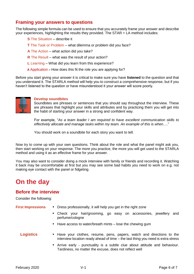#### <span id="page-5-0"></span>**Framing your answers to questions**

The following simple formula can be used to ensure that you accurately frame your answer and describe your experiences, highlighting the results they provided. The STAR + LA method includes:

- **S** The Situation describe it
- **T** The Task or Problem what dilemma or problem did you face?
- **A** The Action what action did you take?
- **R** The Result what was the result of your action?
- **L** Learning What did you learn from this experience?
- **A** Application **–** How does this fit the role you are applying for?

Before you start giving your answer it is critical to make sure you have **listened** to the question and that you understand it. The STARLA method will help you to construct a comprehensive response, but if you haven't listened to the question or have misunderstood it your answer will score poorly.



#### **Develop soundbites**

Soundbites are phrases or sentences that you should say throughout the interview. These are phrases that highlight your skills and attributes and by practicing them you will get into the habit of starting your answer in a strong and confident way.

For example, "*As a team leader I am required to have excellent communication skills to effectively allocate and manage tasks within my team. An example of this is when*…."

You should work on a soundbite for each story you want to tell.

Now try to come up with your own questions. Think about the role and what the panel might ask you, then start working on your response. The more you practice, the more you will get used to the STARLA method and using it as an effective frame for your answer.

You may also want to consider doing a mock interview with family or friends and recording it. Watching it back may be uncomfortable at first but you may see some bad habits you need to work on e.g. not making eye contact with the panel or fidgeting.

### <span id="page-5-1"></span>**On the day**

#### <span id="page-5-2"></span>**Before the interview**

Consider the following:

**First Impressions •** Dress professionally, it will help you get in the right zone

- **•** Check your hair/grooming, go easy on accessories, jewellery and perfume/cologne
- **•** Have access to water/breath mints lose the chewing gum
- **Logistics** Have your clothes, resume, pens, papers, watch and directions to the interview location ready ahead of time – the last thing you need is extra stress
	- **•** Arrive early punctuality is a subtle clue about attitude and behaviour. Tardiness, no matter the excuse, does not reflect well